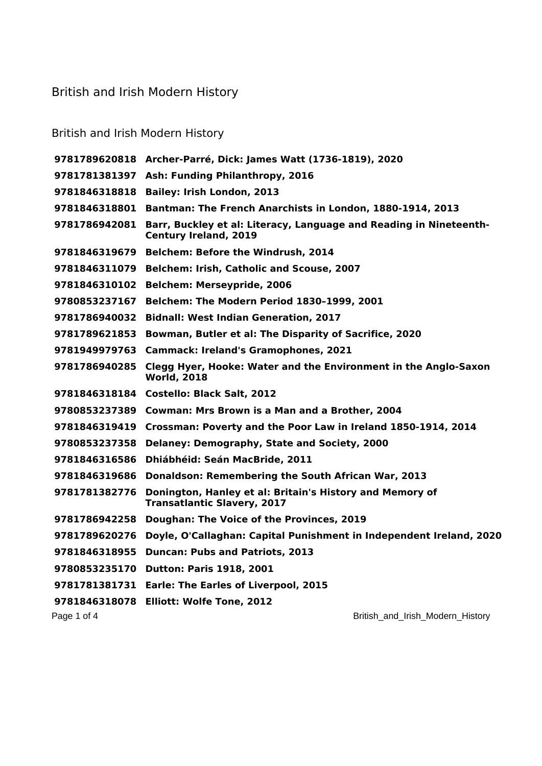## British and Irish Modern History

## British and Irish Modern History

|               | 9781789620818 Archer-Parré, Dick: James Watt (1736-1819), 2020                                     |
|---------------|----------------------------------------------------------------------------------------------------|
|               | 9781781381397 Ash: Funding Philanthropy, 2016                                                      |
| 9781846318818 | <b>Bailey: Irish London, 2013</b>                                                                  |
| 9781846318801 | Bantman: The French Anarchists in London, 1880-1914, 2013                                          |
| 9781786942081 | Barr, Buckley et al: Literacy, Language and Reading in Nineteenth-<br><b>Century Ireland, 2019</b> |
| 9781846319679 | <b>Belchem: Before the Windrush, 2014</b>                                                          |
| 9781846311079 | Belchem: Irish, Catholic and Scouse, 2007                                                          |
| 9781846310102 | <b>Belchem: Merseypride, 2006</b>                                                                  |
| 9780853237167 | Belchem: The Modern Period 1830-1999, 2001                                                         |
| 9781786940032 | <b>Bidnall: West Indian Generation, 2017</b>                                                       |
| 9781789621853 | Bowman, Butler et al: The Disparity of Sacrifice, 2020                                             |
| 9781949979763 | <b>Cammack: Ireland's Gramophones, 2021</b>                                                        |
| 9781786940285 | Clegg Hyer, Hooke: Water and the Environment in the Anglo-Saxon<br><b>World, 2018</b>              |
| 9781846318184 | <b>Costello: Black Salt, 2012</b>                                                                  |
|               | 9780853237389 Cowman: Mrs Brown is a Man and a Brother, 2004                                       |
| 9781846319419 | Crossman: Poverty and the Poor Law in Ireland 1850-1914, 2014                                      |
| 9780853237358 | Delaney: Demography, State and Society, 2000                                                       |
| 9781846316586 | Dhiábhéid: Seán MacBride, 2011                                                                     |
| 9781846319686 | Donaldson: Remembering the South African War, 2013                                                 |
| 9781781382776 | Donington, Hanley et al: Britain's History and Memory of<br><b>Transatlantic Slavery, 2017</b>     |
| 9781786942258 | Doughan: The Voice of the Provinces, 2019                                                          |
| 9781789620276 | Doyle, O'Callaghan: Capital Punishment in Independent Ireland, 2020                                |
| 9781846318955 | <b>Duncan: Pubs and Patriots, 2013</b>                                                             |
| 9780853235170 | <b>Dutton: Paris 1918, 2001</b>                                                                    |
| 9781781381731 | <b>Earle: The Earles of Liverpool, 2015</b>                                                        |
| 9781846318078 | <b>Elliott: Wolfe Tone, 2012</b>                                                                   |
| Page 1 of 4   | British_and_Irish_Modern_History                                                                   |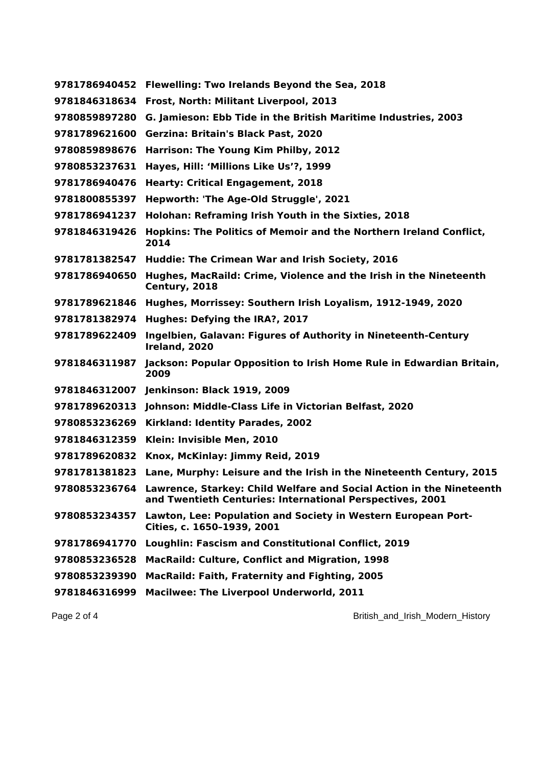| 9781786940452 | Flewelling: Two Irelands Beyond the Sea, 2018                                                                                                   |
|---------------|-------------------------------------------------------------------------------------------------------------------------------------------------|
| 9781846318634 | Frost, North: Militant Liverpool, 2013                                                                                                          |
| 9780859897280 | G. Jamieson: Ebb Tide in the British Maritime Industries, 2003                                                                                  |
| 9781789621600 | Gerzina: Britain's Black Past, 2020                                                                                                             |
| 9780859898676 | Harrison: The Young Kim Philby, 2012                                                                                                            |
| 9780853237631 | Hayes, Hill: 'Millions Like Us'?, 1999                                                                                                          |
| 9781786940476 | <b>Hearty: Critical Engagement, 2018</b>                                                                                                        |
| 9781800855397 | Hepworth: 'The Age-Old Struggle', 2021                                                                                                          |
| 9781786941237 | Holohan: Reframing Irish Youth in the Sixties, 2018                                                                                             |
| 9781846319426 | Hopkins: The Politics of Memoir and the Northern Ireland Conflict,<br>2014                                                                      |
| 9781781382547 | Huddie: The Crimean War and Irish Society, 2016                                                                                                 |
| 9781786940650 | Hughes, MacRaild: Crime, Violence and the Irish in the Nineteenth<br>Century, 2018                                                              |
| 9781789621846 | Hughes, Morrissey: Southern Irish Loyalism, 1912-1949, 2020                                                                                     |
| 9781781382974 | Hughes: Defying the IRA?, 2017                                                                                                                  |
| 9781789622409 | Ingelbien, Galavan: Figures of Authority in Nineteenth-Century<br>Ireland, 2020                                                                 |
| 9781846311987 | Jackson: Popular Opposition to Irish Home Rule in Edwardian Britain,<br>2009                                                                    |
| 9781846312007 | <b>Jenkinson: Black 1919, 2009</b>                                                                                                              |
| 9781789620313 | Johnson: Middle-Class Life in Victorian Belfast, 2020                                                                                           |
| 9780853236269 | Kirkland: Identity Parades, 2002                                                                                                                |
| 9781846312359 | Klein: Invisible Men, 2010                                                                                                                      |
| 9781789620832 | Knox, McKinlay: Jimmy Reid, 2019                                                                                                                |
| 9781781381823 | Lane, Murphy: Leisure and the Irish in the Nineteenth Century, 2015                                                                             |
|               | 9780853236764 Lawrence, Starkey: Child Welfare and Social Action in the Nineteenth<br>and Twentieth Centuries: International Perspectives, 2001 |
| 9780853234357 | Lawton, Lee: Population and Society in Western European Port-<br>Cities, c. 1650-1939, 2001                                                     |
| 9781786941770 | Loughlin: Fascism and Constitutional Conflict, 2019                                                                                             |
| 9780853236528 | <b>MacRaild: Culture, Conflict and Migration, 1998</b>                                                                                          |
| 9780853239390 | <b>MacRaild: Faith, Fraternity and Fighting, 2005</b>                                                                                           |
| 9781846316999 | Macilwee: The Liverpool Underworld, 2011                                                                                                        |

Page 2 of 4 British\_and\_Irish\_Modern\_History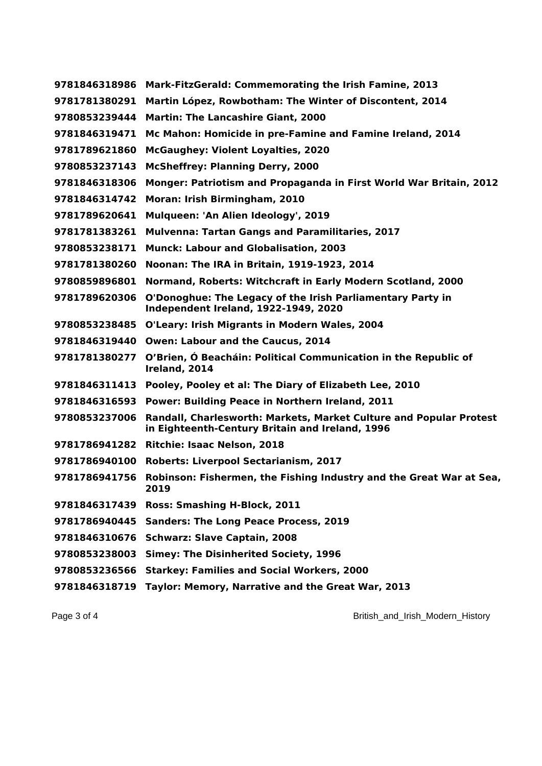| 9781846318986 | Mark-FitzGerald: Commemorating the Irish Famine, 2013                                                                 |
|---------------|-----------------------------------------------------------------------------------------------------------------------|
| 9781781380291 | Martin López, Rowbotham: The Winter of Discontent, 2014                                                               |
| 9780853239444 | <b>Martin: The Lancashire Giant, 2000</b>                                                                             |
| 9781846319471 | Mc Mahon: Homicide in pre-Famine and Famine Ireland, 2014                                                             |
| 9781789621860 | <b>McGaughey: Violent Loyalties, 2020</b>                                                                             |
| 9780853237143 | <b>McSheffrey: Planning Derry, 2000</b>                                                                               |
| 9781846318306 | Monger: Patriotism and Propaganda in First World War Britain, 2012                                                    |
| 9781846314742 | Moran: Irish Birmingham, 2010                                                                                         |
| 9781789620641 | Mulqueen: 'An Alien Ideology', 2019                                                                                   |
| 9781781383261 | <b>Mulvenna: Tartan Gangs and Paramilitaries, 2017</b>                                                                |
| 9780853238171 | <b>Munck: Labour and Globalisation, 2003</b>                                                                          |
| 9781781380260 | Noonan: The IRA in Britain, 1919-1923, 2014                                                                           |
| 9780859896801 | Normand, Roberts: Witchcraft in Early Modern Scotland, 2000                                                           |
| 9781789620306 | O'Donoghue: The Legacy of the Irish Parliamentary Party in<br>Independent Ireland, 1922-1949, 2020                    |
| 9780853238485 | <b>O'Leary: Irish Migrants in Modern Wales, 2004</b>                                                                  |
| 9781846319440 | Owen: Labour and the Caucus, 2014                                                                                     |
| 9781781380277 | O'Brien, Ó Beacháin: Political Communication in the Republic of<br>Ireland, 2014                                      |
| 9781846311413 | Pooley, Pooley et al: The Diary of Elizabeth Lee, 2010                                                                |
| 9781846316593 | Power: Building Peace in Northern Ireland, 2011                                                                       |
| 9780853237006 | Randall, Charlesworth: Markets, Market Culture and Popular Protest<br>in Eighteenth-Century Britain and Ireland, 1996 |
| 9781786941282 | <b>Ritchie: Isaac Nelson, 2018</b>                                                                                    |
| 9781786940100 | <b>Roberts: Liverpool Sectarianism, 2017</b>                                                                          |
| 9781786941756 | Robinson: Fishermen, the Fishing Industry and the Great War at Sea,<br>2019                                           |
| 9781846317439 | Ross: Smashing H-Block, 2011                                                                                          |
| 9781786940445 | <b>Sanders: The Long Peace Process, 2019</b>                                                                          |
| 9781846310676 | <b>Schwarz: Slave Captain, 2008</b>                                                                                   |
| 9780853238003 | <b>Simey: The Disinherited Society, 1996</b>                                                                          |
| 9780853236566 | <b>Starkey: Families and Social Workers, 2000</b>                                                                     |
| 9781846318719 | Taylor: Memory, Narrative and the Great War, 2013                                                                     |

Page 3 of 4 British\_and\_Irish\_Modern\_History